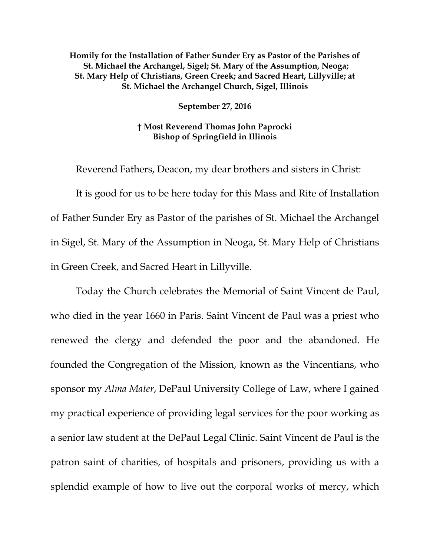## **Homily for the Installation of Father Sunder Ery as Pastor of the Parishes of St. Michael the Archangel, Sigel; St. Mary of the Assumption, Neoga; St. Mary Help of Christians, Green Creek; and Sacred Heart, Lillyville; at St. Michael the Archangel Church, Sigel, Illinois**

**September 27, 2016**

## **† Most Reverend Thomas John Paprocki Bishop of Springfield in Illinois**

Reverend Fathers, Deacon, my dear brothers and sisters in Christ:

It is good for us to be here today for this Mass and Rite of Installation of Father Sunder Ery as Pastor of the parishes of St. Michael the Archangel in Sigel, St. Mary of the Assumption in Neoga, St. Mary Help of Christians in Green Creek, and Sacred Heart in Lillyville.

Today the Church celebrates the Memorial of Saint Vincent de Paul, who died in the year 1660 in Paris. Saint Vincent de Paul was a priest who renewed the clergy and defended the poor and the abandoned. He founded the Congregation of the Mission, known as the Vincentians, who sponsor my *Alma Mater*, DePaul University College of Law, where I gained my practical experience of providing legal services for the poor working as a senior law student at the DePaul Legal Clinic. Saint Vincent de Paul is the patron saint of charities, of hospitals and prisoners, providing us with a splendid example of how to live out the corporal works of mercy, which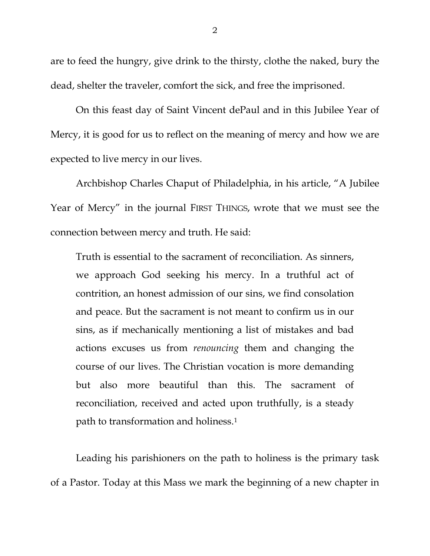are to feed the hungry, give drink to the thirsty, clothe the naked, bury the dead, shelter the traveler, comfort the sick, and free the imprisoned.

On this feast day of Saint Vincent dePaul and in this Jubilee Year of Mercy, it is good for us to reflect on the meaning of mercy and how we are expected to live mercy in our lives.

Archbishop Charles Chaput of Philadelphia, in his article, "A Jubilee Year of Mercy" in the journal FIRST THINGS, wrote that we must see the connection between mercy and truth. He said:

Truth is essential to the sacrament of reconciliation. As sinners, we approach God seeking his mercy. In a truthful act of contrition, an honest admission of our sins, we find consolation and peace. But the sacrament is not meant to confirm us in our sins, as if mechanically mentioning a list of mistakes and bad actions excuses us from *renouncing* them and changing the course of our lives. The Christian vocation is more demanding but also more beautiful than this. The sacrament of reconciliation, received and acted upon truthfully, is a steady path to transformation and holiness[.1](#page-6-0)

Leading his parishioners on the path to holiness is the primary task of a Pastor. Today at this Mass we mark the beginning of a new chapter in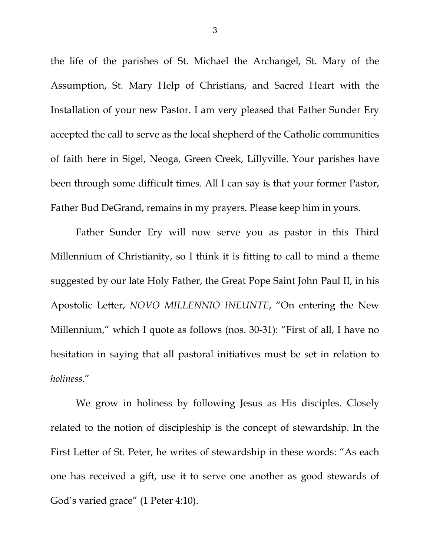the life of the parishes of St. Michael the Archangel, St. Mary of the Assumption, St. Mary Help of Christians, and Sacred Heart with the Installation of your new Pastor. I am very pleased that Father Sunder Ery accepted the call to serve as the local shepherd of the Catholic communities of faith here in Sigel, Neoga, Green Creek, Lillyville. Your parishes have been through some difficult times. All I can say is that your former Pastor, Father Bud DeGrand, remains in my prayers. Please keep him in yours.

Father Sunder Ery will now serve you as pastor in this Third Millennium of Christianity, so I think it is fitting to call to mind a theme suggested by our late Holy Father, the Great Pope Saint John Paul II, in his Apostolic Letter, *NOVO MILLENNIO INEUNTE*, "On entering the New Millennium," which I quote as follows (nos. 30-31): "First of all, I have no hesitation in saying that all pastoral initiatives must be set in relation to *holiness*."

We grow in holiness by following Jesus as His disciples. Closely related to the notion of discipleship is the concept of stewardship. In the First Letter of St. Peter, he writes of stewardship in these words: "As each one has received a gift, use it to serve one another as good stewards of God's varied grace" (1 Peter 4:10).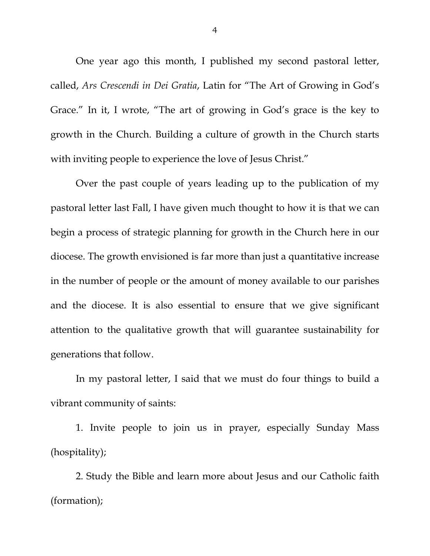One year ago this month, I published my second pastoral letter, called, *Ars Crescendi in Dei Gratia*, Latin for "The Art of Growing in God's Grace." In it, I wrote, "The art of growing in God's grace is the key to growth in the Church. Building a culture of growth in the Church starts with inviting people to experience the love of Jesus Christ."

Over the past couple of years leading up to the publication of my pastoral letter last Fall, I have given much thought to how it is that we can begin a process of strategic planning for growth in the Church here in our diocese. The growth envisioned is far more than just a quantitative increase in the number of people or the amount of money available to our parishes and the diocese. It is also essential to ensure that we give significant attention to the qualitative growth that will guarantee sustainability for generations that follow.

In my pastoral letter, I said that we must do four things to build a vibrant community of saints:

1. Invite people to join us in prayer, especially Sunday Mass (hospitality);

2. Study the Bible and learn more about Jesus and our Catholic faith (formation);

4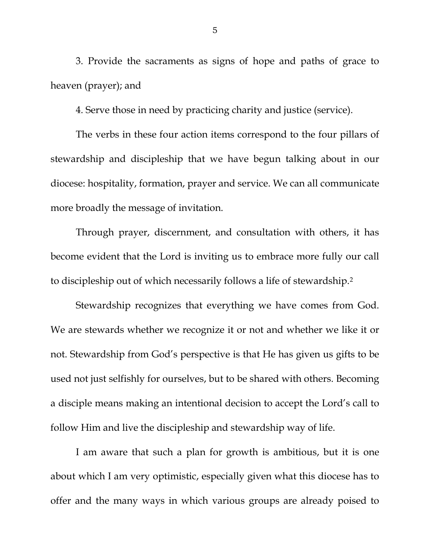3. Provide the sacraments as signs of hope and paths of grace to heaven (prayer); and

4. Serve those in need by practicing charity and justice (service).

The verbs in these four action items correspond to the four pillars of stewardship and discipleship that we have begun talking about in our diocese: hospitality, formation, prayer and service. We can all communicate more broadly the message of invitation.

Through prayer, discernment, and consultation with others, it has become evident that the Lord is inviting us to embrace more fully our call to discipleship out of which necessarily follows a life of stewardship.[2](#page-6-1) 

Stewardship recognizes that everything we have comes from God. We are stewards whether we recognize it or not and whether we like it or not. Stewardship from God's perspective is that He has given us gifts to be used not just selfishly for ourselves, but to be shared with others. Becoming a disciple means making an intentional decision to accept the Lord's call to follow Him and live the discipleship and stewardship way of life.

I am aware that such a plan for growth is ambitious, but it is one about which I am very optimistic, especially given what this diocese has to offer and the many ways in which various groups are already poised to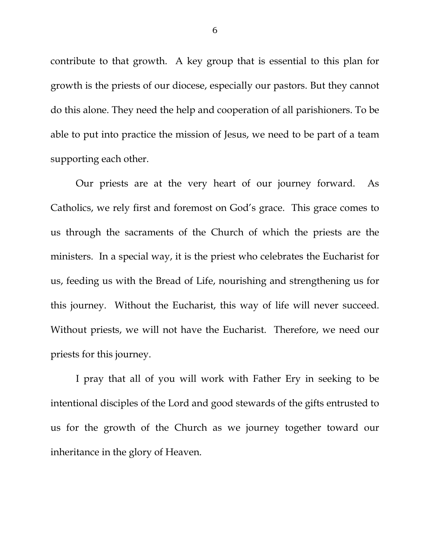contribute to that growth. A key group that is essential to this plan for growth is the priests of our diocese, especially our pastors. But they cannot do this alone. They need the help and cooperation of all parishioners. To be able to put into practice the mission of Jesus, we need to be part of a team supporting each other.

Our priests are at the very heart of our journey forward. As Catholics, we rely first and foremost on God's grace. This grace comes to us through the sacraments of the Church of which the priests are the ministers. In a special way, it is the priest who celebrates the Eucharist for us, feeding us with the Bread of Life, nourishing and strengthening us for this journey. Without the Eucharist, this way of life will never succeed. Without priests, we will not have the Eucharist. Therefore, we need our priests for this journey.

I pray that all of you will work with Father Ery in seeking to be intentional disciples of the Lord and good stewards of the gifts entrusted to us for the growth of the Church as we journey together toward our inheritance in the glory of Heaven.